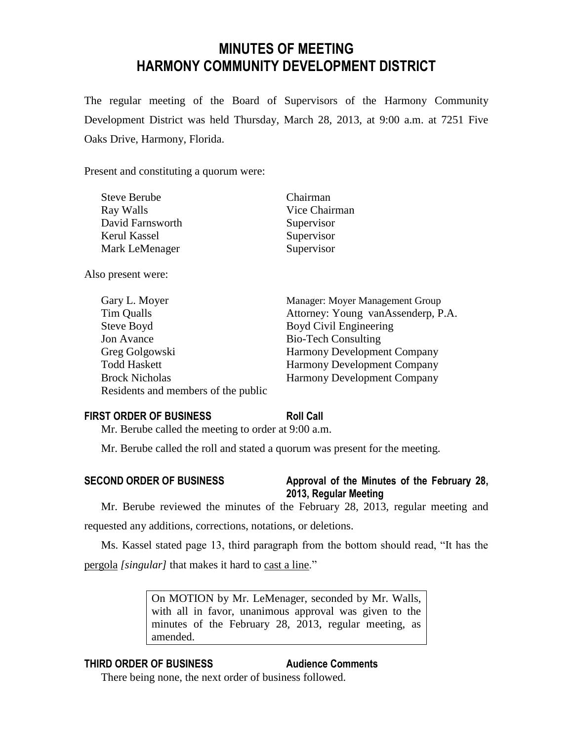# **MINUTES OF MEETING HARMONY COMMUNITY DEVELOPMENT DISTRICT**

The regular meeting of the Board of Supervisors of the Harmony Community Development District was held Thursday, March 28, 2013, at 9:00 a.m. at 7251 Five Oaks Drive, Harmony, Florida.

Present and constituting a quorum were:

| <b>Steve Berube</b> | Chairman      |
|---------------------|---------------|
| Ray Walls           | Vice Chairman |
| David Farnsworth    | Supervisor    |
| Kerul Kassel        | Supervisor    |
| Mark LeMenager      | Supervisor    |
|                     |               |

Also present were:

| Gary L. Moyer                       | Manager: Moyer Management Group    |
|-------------------------------------|------------------------------------|
| Tim Qualls                          | Attorney: Young vanAssenderp, P.A. |
| Steve Boyd                          | Boyd Civil Engineering             |
| Jon Avance                          | <b>Bio-Tech Consulting</b>         |
| Greg Golgowski                      | <b>Harmony Development Company</b> |
| <b>Todd Haskett</b>                 | <b>Harmony Development Company</b> |
| <b>Brock Nicholas</b>               | Harmony Development Company        |
| Residents and members of the public |                                    |
|                                     |                                    |

## **FIRST ORDER OF BUSINESS Roll Call**

Mr. Berube called the meeting to order at 9:00 a.m.

Mr. Berube called the roll and stated a quorum was present for the meeting.

**SECOND ORDER OF BUSINESS Approval of the Minutes of the February 28, 2013, Regular Meeting**

Mr. Berube reviewed the minutes of the February 28, 2013, regular meeting and requested any additions, corrections, notations, or deletions.

Ms. Kassel stated page 13, third paragraph from the bottom should read, "It has the pergola *[singular]* that makes it hard to cast a line."

> On MOTION by Mr. LeMenager, seconded by Mr. Walls, with all in favor, unanimous approval was given to the minutes of the February 28, 2013, regular meeting, as amended.

## **THIRD ORDER OF BUSINESS Audience Comments**

There being none, the next order of business followed.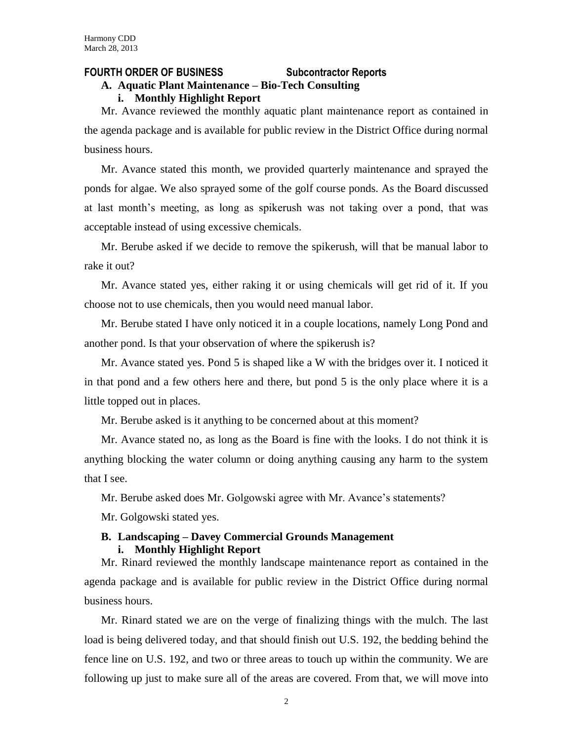### **FOURTH ORDER OF BUSINESS Subcontractor Reports**

## **A. Aquatic Plant Maintenance – Bio-Tech Consulting**

#### **i. Monthly Highlight Report**

Mr. Avance reviewed the monthly aquatic plant maintenance report as contained in the agenda package and is available for public review in the District Office during normal business hours.

Mr. Avance stated this month, we provided quarterly maintenance and sprayed the ponds for algae. We also sprayed some of the golf course ponds. As the Board discussed at last month's meeting, as long as spikerush was not taking over a pond, that was acceptable instead of using excessive chemicals.

Mr. Berube asked if we decide to remove the spikerush, will that be manual labor to rake it out?

Mr. Avance stated yes, either raking it or using chemicals will get rid of it. If you choose not to use chemicals, then you would need manual labor.

Mr. Berube stated I have only noticed it in a couple locations, namely Long Pond and another pond. Is that your observation of where the spikerush is?

Mr. Avance stated yes. Pond 5 is shaped like a W with the bridges over it. I noticed it in that pond and a few others here and there, but pond 5 is the only place where it is a little topped out in places.

Mr. Berube asked is it anything to be concerned about at this moment?

Mr. Avance stated no, as long as the Board is fine with the looks. I do not think it is anything blocking the water column or doing anything causing any harm to the system that I see.

Mr. Berube asked does Mr. Golgowski agree with Mr. Avance's statements?

Mr. Golgowski stated yes.

## **B. Landscaping – Davey Commercial Grounds Management i. Monthly Highlight Report**

Mr. Rinard reviewed the monthly landscape maintenance report as contained in the agenda package and is available for public review in the District Office during normal business hours.

Mr. Rinard stated we are on the verge of finalizing things with the mulch. The last load is being delivered today, and that should finish out U.S. 192, the bedding behind the fence line on U.S. 192, and two or three areas to touch up within the community. We are following up just to make sure all of the areas are covered. From that, we will move into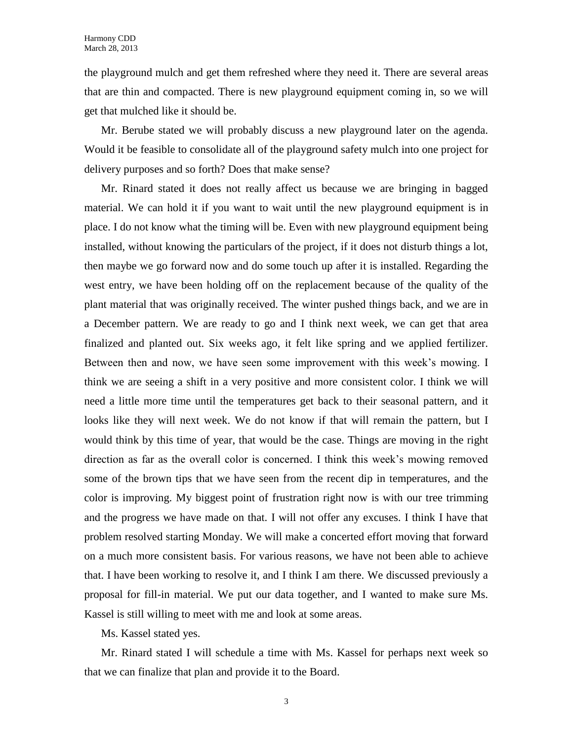the playground mulch and get them refreshed where they need it. There are several areas that are thin and compacted. There is new playground equipment coming in, so we will get that mulched like it should be.

Mr. Berube stated we will probably discuss a new playground later on the agenda. Would it be feasible to consolidate all of the playground safety mulch into one project for delivery purposes and so forth? Does that make sense?

Mr. Rinard stated it does not really affect us because we are bringing in bagged material. We can hold it if you want to wait until the new playground equipment is in place. I do not know what the timing will be. Even with new playground equipment being installed, without knowing the particulars of the project, if it does not disturb things a lot, then maybe we go forward now and do some touch up after it is installed. Regarding the west entry, we have been holding off on the replacement because of the quality of the plant material that was originally received. The winter pushed things back, and we are in a December pattern. We are ready to go and I think next week, we can get that area finalized and planted out. Six weeks ago, it felt like spring and we applied fertilizer. Between then and now, we have seen some improvement with this week's mowing. I think we are seeing a shift in a very positive and more consistent color. I think we will need a little more time until the temperatures get back to their seasonal pattern, and it looks like they will next week. We do not know if that will remain the pattern, but I would think by this time of year, that would be the case. Things are moving in the right direction as far as the overall color is concerned. I think this week's mowing removed some of the brown tips that we have seen from the recent dip in temperatures, and the color is improving. My biggest point of frustration right now is with our tree trimming and the progress we have made on that. I will not offer any excuses. I think I have that problem resolved starting Monday. We will make a concerted effort moving that forward on a much more consistent basis. For various reasons, we have not been able to achieve that. I have been working to resolve it, and I think I am there. We discussed previously a proposal for fill-in material. We put our data together, and I wanted to make sure Ms. Kassel is still willing to meet with me and look at some areas.

Ms. Kassel stated yes.

Mr. Rinard stated I will schedule a time with Ms. Kassel for perhaps next week so that we can finalize that plan and provide it to the Board.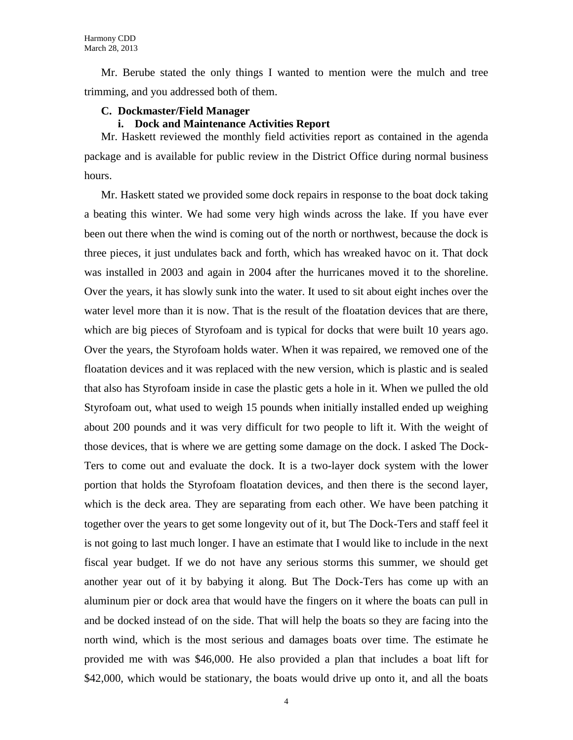Mr. Berube stated the only things I wanted to mention were the mulch and tree trimming, and you addressed both of them.

## **C. Dockmaster/Field Manager**

## **i. Dock and Maintenance Activities Report**

Mr. Haskett reviewed the monthly field activities report as contained in the agenda package and is available for public review in the District Office during normal business hours.

Mr. Haskett stated we provided some dock repairs in response to the boat dock taking a beating this winter. We had some very high winds across the lake. If you have ever been out there when the wind is coming out of the north or northwest, because the dock is three pieces, it just undulates back and forth, which has wreaked havoc on it. That dock was installed in 2003 and again in 2004 after the hurricanes moved it to the shoreline. Over the years, it has slowly sunk into the water. It used to sit about eight inches over the water level more than it is now. That is the result of the floatation devices that are there, which are big pieces of Styrofoam and is typical for docks that were built 10 years ago. Over the years, the Styrofoam holds water. When it was repaired, we removed one of the floatation devices and it was replaced with the new version, which is plastic and is sealed that also has Styrofoam inside in case the plastic gets a hole in it. When we pulled the old Styrofoam out, what used to weigh 15 pounds when initially installed ended up weighing about 200 pounds and it was very difficult for two people to lift it. With the weight of those devices, that is where we are getting some damage on the dock. I asked The Dock-Ters to come out and evaluate the dock. It is a two-layer dock system with the lower portion that holds the Styrofoam floatation devices, and then there is the second layer, which is the deck area. They are separating from each other. We have been patching it together over the years to get some longevity out of it, but The Dock-Ters and staff feel it is not going to last much longer. I have an estimate that I would like to include in the next fiscal year budget. If we do not have any serious storms this summer, we should get another year out of it by babying it along. But The Dock-Ters has come up with an aluminum pier or dock area that would have the fingers on it where the boats can pull in and be docked instead of on the side. That will help the boats so they are facing into the north wind, which is the most serious and damages boats over time. The estimate he provided me with was \$46,000. He also provided a plan that includes a boat lift for \$42,000, which would be stationary, the boats would drive up onto it, and all the boats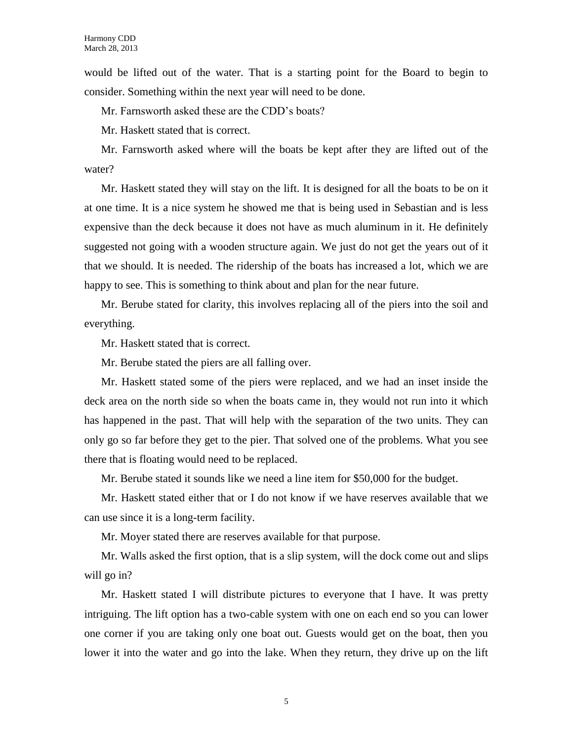would be lifted out of the water. That is a starting point for the Board to begin to consider. Something within the next year will need to be done.

Mr. Farnsworth asked these are the CDD's boats?

Mr. Haskett stated that is correct.

Mr. Farnsworth asked where will the boats be kept after they are lifted out of the water?

Mr. Haskett stated they will stay on the lift. It is designed for all the boats to be on it at one time. It is a nice system he showed me that is being used in Sebastian and is less expensive than the deck because it does not have as much aluminum in it. He definitely suggested not going with a wooden structure again. We just do not get the years out of it that we should. It is needed. The ridership of the boats has increased a lot, which we are happy to see. This is something to think about and plan for the near future.

Mr. Berube stated for clarity, this involves replacing all of the piers into the soil and everything.

Mr. Haskett stated that is correct.

Mr. Berube stated the piers are all falling over.

Mr. Haskett stated some of the piers were replaced, and we had an inset inside the deck area on the north side so when the boats came in, they would not run into it which has happened in the past. That will help with the separation of the two units. They can only go so far before they get to the pier. That solved one of the problems. What you see there that is floating would need to be replaced.

Mr. Berube stated it sounds like we need a line item for \$50,000 for the budget.

Mr. Haskett stated either that or I do not know if we have reserves available that we can use since it is a long-term facility.

Mr. Moyer stated there are reserves available for that purpose.

Mr. Walls asked the first option, that is a slip system, will the dock come out and slips will go in?

Mr. Haskett stated I will distribute pictures to everyone that I have. It was pretty intriguing. The lift option has a two-cable system with one on each end so you can lower one corner if you are taking only one boat out. Guests would get on the boat, then you lower it into the water and go into the lake. When they return, they drive up on the lift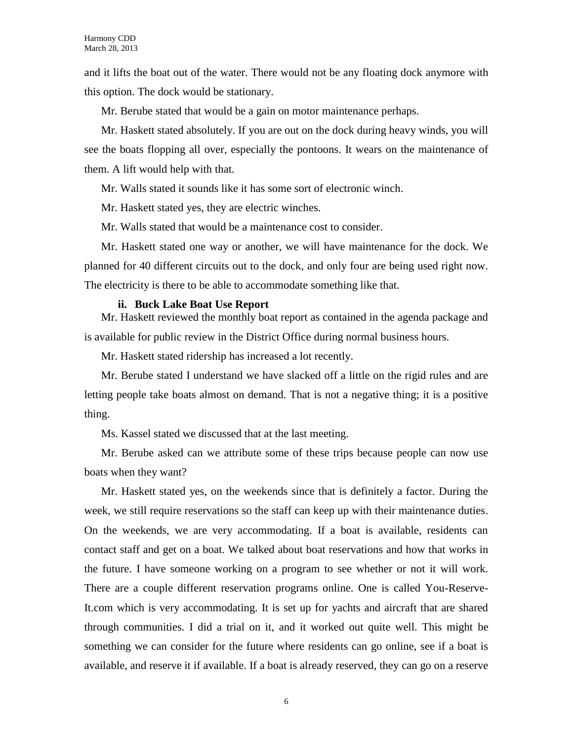and it lifts the boat out of the water. There would not be any floating dock anymore with this option. The dock would be stationary.

Mr. Berube stated that would be a gain on motor maintenance perhaps.

Mr. Haskett stated absolutely. If you are out on the dock during heavy winds, you will see the boats flopping all over, especially the pontoons. It wears on the maintenance of them. A lift would help with that.

Mr. Walls stated it sounds like it has some sort of electronic winch.

Mr. Haskett stated yes, they are electric winches.

Mr. Walls stated that would be a maintenance cost to consider.

Mr. Haskett stated one way or another, we will have maintenance for the dock. We planned for 40 different circuits out to the dock, and only four are being used right now. The electricity is there to be able to accommodate something like that.

#### **ii. Buck Lake Boat Use Report**

Mr. Haskett reviewed the monthly boat report as contained in the agenda package and is available for public review in the District Office during normal business hours.

Mr. Haskett stated ridership has increased a lot recently.

Mr. Berube stated I understand we have slacked off a little on the rigid rules and are letting people take boats almost on demand. That is not a negative thing; it is a positive thing.

Ms. Kassel stated we discussed that at the last meeting.

Mr. Berube asked can we attribute some of these trips because people can now use boats when they want?

Mr. Haskett stated yes, on the weekends since that is definitely a factor. During the week, we still require reservations so the staff can keep up with their maintenance duties. On the weekends, we are very accommodating. If a boat is available, residents can contact staff and get on a boat. We talked about boat reservations and how that works in the future. I have someone working on a program to see whether or not it will work. There are a couple different reservation programs online. One is called You-Reserve-It.com which is very accommodating. It is set up for yachts and aircraft that are shared through communities. I did a trial on it, and it worked out quite well. This might be something we can consider for the future where residents can go online, see if a boat is available, and reserve it if available. If a boat is already reserved, they can go on a reserve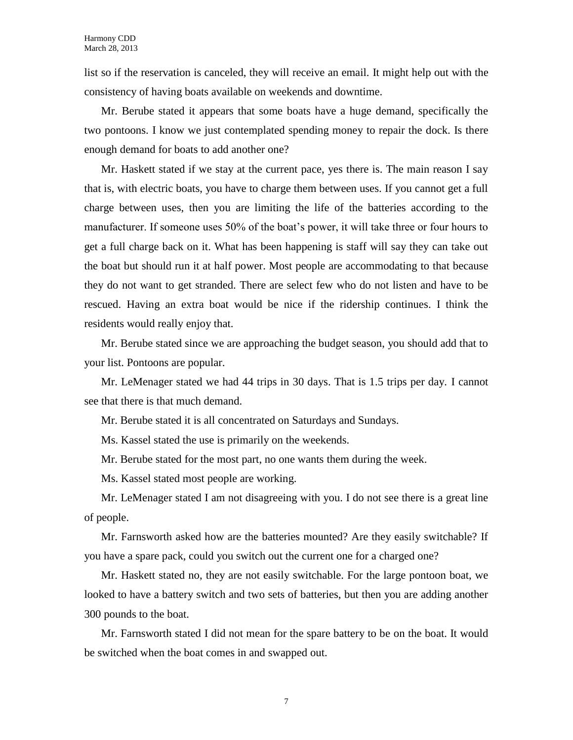list so if the reservation is canceled, they will receive an email. It might help out with the consistency of having boats available on weekends and downtime.

Mr. Berube stated it appears that some boats have a huge demand, specifically the two pontoons. I know we just contemplated spending money to repair the dock. Is there enough demand for boats to add another one?

Mr. Haskett stated if we stay at the current pace, yes there is. The main reason I say that is, with electric boats, you have to charge them between uses. If you cannot get a full charge between uses, then you are limiting the life of the batteries according to the manufacturer. If someone uses 50% of the boat's power, it will take three or four hours to get a full charge back on it. What has been happening is staff will say they can take out the boat but should run it at half power. Most people are accommodating to that because they do not want to get stranded. There are select few who do not listen and have to be rescued. Having an extra boat would be nice if the ridership continues. I think the residents would really enjoy that.

Mr. Berube stated since we are approaching the budget season, you should add that to your list. Pontoons are popular.

Mr. LeMenager stated we had 44 trips in 30 days. That is 1.5 trips per day. I cannot see that there is that much demand.

Mr. Berube stated it is all concentrated on Saturdays and Sundays.

Ms. Kassel stated the use is primarily on the weekends.

Mr. Berube stated for the most part, no one wants them during the week.

Ms. Kassel stated most people are working.

Mr. LeMenager stated I am not disagreeing with you. I do not see there is a great line of people.

Mr. Farnsworth asked how are the batteries mounted? Are they easily switchable? If you have a spare pack, could you switch out the current one for a charged one?

Mr. Haskett stated no, they are not easily switchable. For the large pontoon boat, we looked to have a battery switch and two sets of batteries, but then you are adding another 300 pounds to the boat.

Mr. Farnsworth stated I did not mean for the spare battery to be on the boat. It would be switched when the boat comes in and swapped out.

7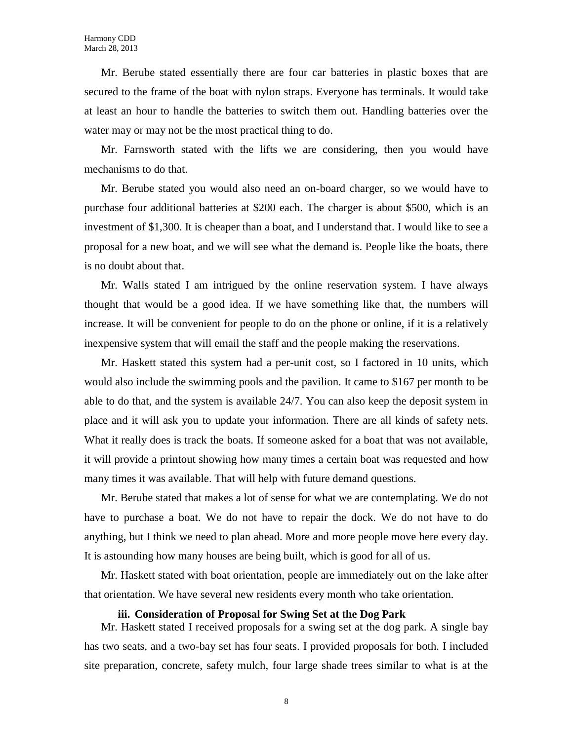Mr. Berube stated essentially there are four car batteries in plastic boxes that are secured to the frame of the boat with nylon straps. Everyone has terminals. It would take at least an hour to handle the batteries to switch them out. Handling batteries over the water may or may not be the most practical thing to do.

Mr. Farnsworth stated with the lifts we are considering, then you would have mechanisms to do that.

Mr. Berube stated you would also need an on-board charger, so we would have to purchase four additional batteries at \$200 each. The charger is about \$500, which is an investment of \$1,300. It is cheaper than a boat, and I understand that. I would like to see a proposal for a new boat, and we will see what the demand is. People like the boats, there is no doubt about that.

Mr. Walls stated I am intrigued by the online reservation system. I have always thought that would be a good idea. If we have something like that, the numbers will increase. It will be convenient for people to do on the phone or online, if it is a relatively inexpensive system that will email the staff and the people making the reservations.

Mr. Haskett stated this system had a per-unit cost, so I factored in 10 units, which would also include the swimming pools and the pavilion. It came to \$167 per month to be able to do that, and the system is available 24/7. You can also keep the deposit system in place and it will ask you to update your information. There are all kinds of safety nets. What it really does is track the boats. If someone asked for a boat that was not available, it will provide a printout showing how many times a certain boat was requested and how many times it was available. That will help with future demand questions.

Mr. Berube stated that makes a lot of sense for what we are contemplating. We do not have to purchase a boat. We do not have to repair the dock. We do not have to do anything, but I think we need to plan ahead. More and more people move here every day. It is astounding how many houses are being built, which is good for all of us.

Mr. Haskett stated with boat orientation, people are immediately out on the lake after that orientation. We have several new residents every month who take orientation.

#### **iii. Consideration of Proposal for Swing Set at the Dog Park**

Mr. Haskett stated I received proposals for a swing set at the dog park. A single bay has two seats, and a two-bay set has four seats. I provided proposals for both. I included site preparation, concrete, safety mulch, four large shade trees similar to what is at the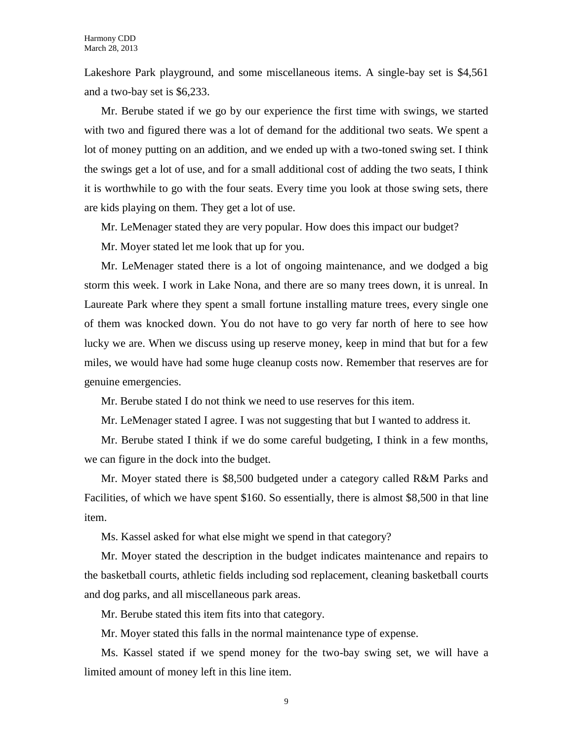Lakeshore Park playground, and some miscellaneous items. A single-bay set is \$4,561 and a two-bay set is \$6,233.

Mr. Berube stated if we go by our experience the first time with swings, we started with two and figured there was a lot of demand for the additional two seats. We spent a lot of money putting on an addition, and we ended up with a two-toned swing set. I think the swings get a lot of use, and for a small additional cost of adding the two seats, I think it is worthwhile to go with the four seats. Every time you look at those swing sets, there are kids playing on them. They get a lot of use.

Mr. LeMenager stated they are very popular. How does this impact our budget?

Mr. Moyer stated let me look that up for you.

Mr. LeMenager stated there is a lot of ongoing maintenance, and we dodged a big storm this week. I work in Lake Nona, and there are so many trees down, it is unreal. In Laureate Park where they spent a small fortune installing mature trees, every single one of them was knocked down. You do not have to go very far north of here to see how lucky we are. When we discuss using up reserve money, keep in mind that but for a few miles, we would have had some huge cleanup costs now. Remember that reserves are for genuine emergencies.

Mr. Berube stated I do not think we need to use reserves for this item.

Mr. LeMenager stated I agree. I was not suggesting that but I wanted to address it.

Mr. Berube stated I think if we do some careful budgeting, I think in a few months, we can figure in the dock into the budget.

Mr. Moyer stated there is \$8,500 budgeted under a category called R&M Parks and Facilities, of which we have spent \$160. So essentially, there is almost \$8,500 in that line item.

Ms. Kassel asked for what else might we spend in that category?

Mr. Moyer stated the description in the budget indicates maintenance and repairs to the basketball courts, athletic fields including sod replacement, cleaning basketball courts and dog parks, and all miscellaneous park areas.

Mr. Berube stated this item fits into that category.

Mr. Moyer stated this falls in the normal maintenance type of expense.

Ms. Kassel stated if we spend money for the two-bay swing set, we will have a limited amount of money left in this line item.

9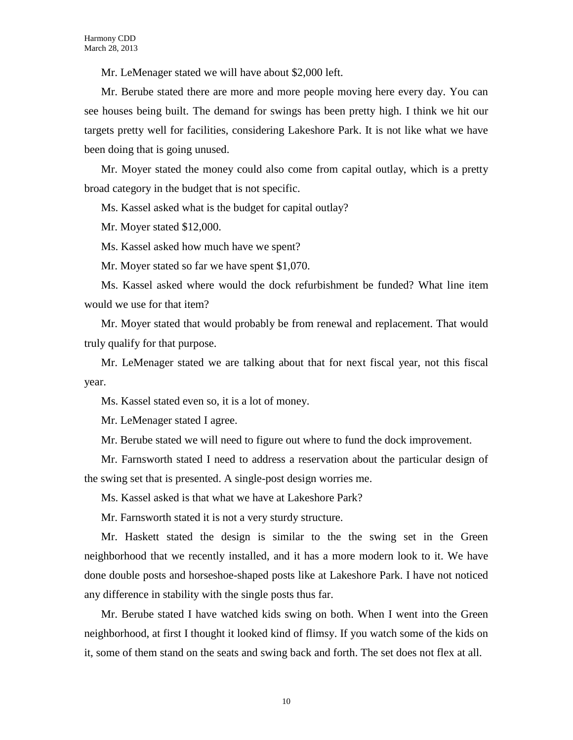Mr. LeMenager stated we will have about \$2,000 left.

Mr. Berube stated there are more and more people moving here every day. You can see houses being built. The demand for swings has been pretty high. I think we hit our targets pretty well for facilities, considering Lakeshore Park. It is not like what we have been doing that is going unused.

Mr. Moyer stated the money could also come from capital outlay, which is a pretty broad category in the budget that is not specific.

Ms. Kassel asked what is the budget for capital outlay?

Mr. Moyer stated \$12,000.

Ms. Kassel asked how much have we spent?

Mr. Moyer stated so far we have spent \$1,070.

Ms. Kassel asked where would the dock refurbishment be funded? What line item would we use for that item?

Mr. Moyer stated that would probably be from renewal and replacement. That would truly qualify for that purpose.

Mr. LeMenager stated we are talking about that for next fiscal year, not this fiscal year.

Ms. Kassel stated even so, it is a lot of money.

Mr. LeMenager stated I agree.

Mr. Berube stated we will need to figure out where to fund the dock improvement.

Mr. Farnsworth stated I need to address a reservation about the particular design of the swing set that is presented. A single-post design worries me.

Ms. Kassel asked is that what we have at Lakeshore Park?

Mr. Farnsworth stated it is not a very sturdy structure.

Mr. Haskett stated the design is similar to the the swing set in the Green neighborhood that we recently installed, and it has a more modern look to it. We have done double posts and horseshoe-shaped posts like at Lakeshore Park. I have not noticed any difference in stability with the single posts thus far.

Mr. Berube stated I have watched kids swing on both. When I went into the Green neighborhood, at first I thought it looked kind of flimsy. If you watch some of the kids on it, some of them stand on the seats and swing back and forth. The set does not flex at all.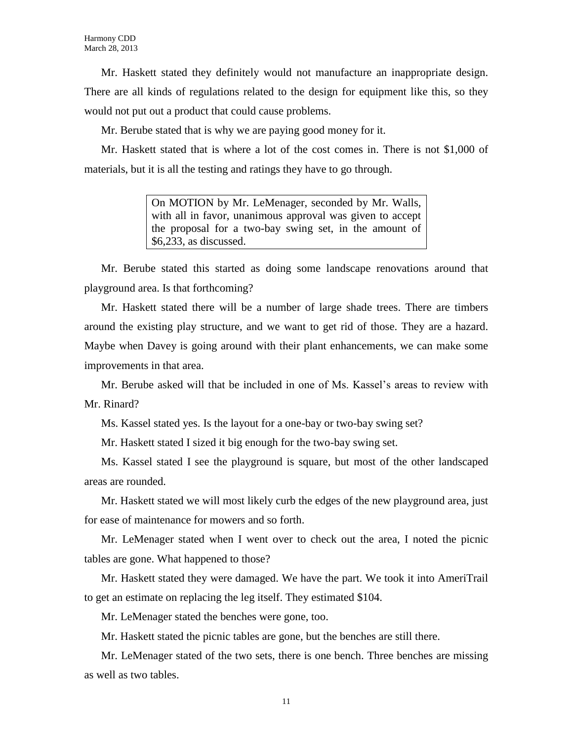Mr. Haskett stated they definitely would not manufacture an inappropriate design. There are all kinds of regulations related to the design for equipment like this, so they would not put out a product that could cause problems.

Mr. Berube stated that is why we are paying good money for it.

Mr. Haskett stated that is where a lot of the cost comes in. There is not \$1,000 of materials, but it is all the testing and ratings they have to go through.

> On MOTION by Mr. LeMenager, seconded by Mr. Walls, with all in favor, unanimous approval was given to accept the proposal for a two-bay swing set, in the amount of \$6,233, as discussed.

Mr. Berube stated this started as doing some landscape renovations around that playground area. Is that forthcoming?

Mr. Haskett stated there will be a number of large shade trees. There are timbers around the existing play structure, and we want to get rid of those. They are a hazard. Maybe when Davey is going around with their plant enhancements, we can make some improvements in that area.

Mr. Berube asked will that be included in one of Ms. Kassel's areas to review with Mr. Rinard?

Ms. Kassel stated yes. Is the layout for a one-bay or two-bay swing set?

Mr. Haskett stated I sized it big enough for the two-bay swing set.

Ms. Kassel stated I see the playground is square, but most of the other landscaped areas are rounded.

Mr. Haskett stated we will most likely curb the edges of the new playground area, just for ease of maintenance for mowers and so forth.

Mr. LeMenager stated when I went over to check out the area, I noted the picnic tables are gone. What happened to those?

Mr. Haskett stated they were damaged. We have the part. We took it into AmeriTrail to get an estimate on replacing the leg itself. They estimated \$104.

Mr. LeMenager stated the benches were gone, too.

Mr. Haskett stated the picnic tables are gone, but the benches are still there.

Mr. LeMenager stated of the two sets, there is one bench. Three benches are missing as well as two tables.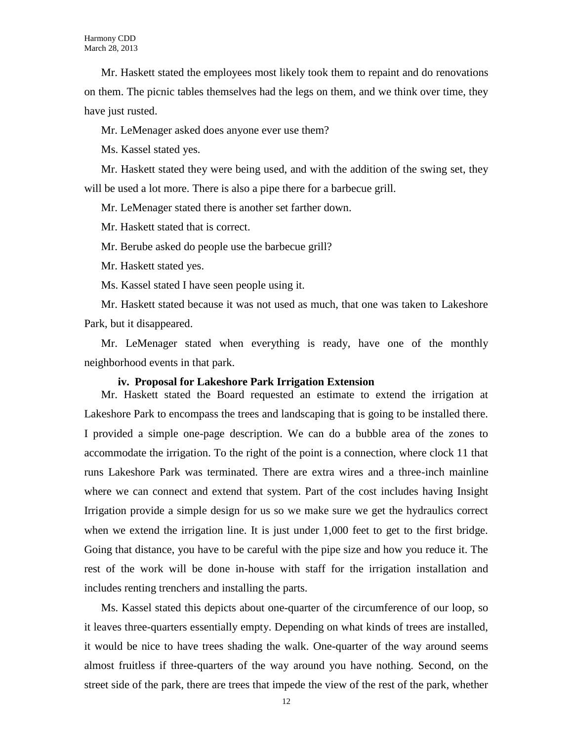Mr. Haskett stated the employees most likely took them to repaint and do renovations on them. The picnic tables themselves had the legs on them, and we think over time, they have just rusted.

Mr. LeMenager asked does anyone ever use them?

Ms. Kassel stated yes.

Mr. Haskett stated they were being used, and with the addition of the swing set, they will be used a lot more. There is also a pipe there for a barbecue grill.

Mr. LeMenager stated there is another set farther down.

Mr. Haskett stated that is correct.

Mr. Berube asked do people use the barbecue grill?

Mr. Haskett stated yes.

Ms. Kassel stated I have seen people using it.

Mr. Haskett stated because it was not used as much, that one was taken to Lakeshore Park, but it disappeared.

Mr. LeMenager stated when everything is ready, have one of the monthly neighborhood events in that park.

### **iv. Proposal for Lakeshore Park Irrigation Extension**

Mr. Haskett stated the Board requested an estimate to extend the irrigation at Lakeshore Park to encompass the trees and landscaping that is going to be installed there. I provided a simple one-page description. We can do a bubble area of the zones to accommodate the irrigation. To the right of the point is a connection, where clock 11 that runs Lakeshore Park was terminated. There are extra wires and a three-inch mainline where we can connect and extend that system. Part of the cost includes having Insight Irrigation provide a simple design for us so we make sure we get the hydraulics correct when we extend the irrigation line. It is just under 1,000 feet to get to the first bridge. Going that distance, you have to be careful with the pipe size and how you reduce it. The rest of the work will be done in-house with staff for the irrigation installation and includes renting trenchers and installing the parts.

Ms. Kassel stated this depicts about one-quarter of the circumference of our loop, so it leaves three-quarters essentially empty. Depending on what kinds of trees are installed, it would be nice to have trees shading the walk. One-quarter of the way around seems almost fruitless if three-quarters of the way around you have nothing. Second, on the street side of the park, there are trees that impede the view of the rest of the park, whether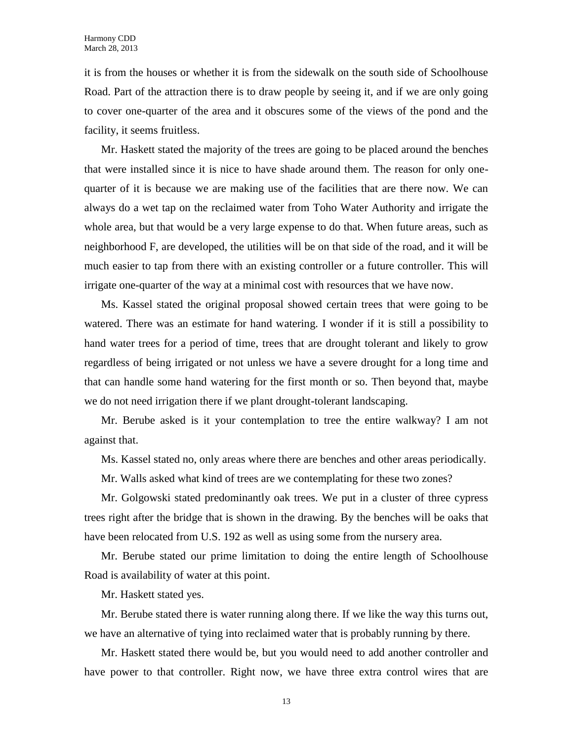it is from the houses or whether it is from the sidewalk on the south side of Schoolhouse Road. Part of the attraction there is to draw people by seeing it, and if we are only going to cover one-quarter of the area and it obscures some of the views of the pond and the facility, it seems fruitless.

Mr. Haskett stated the majority of the trees are going to be placed around the benches that were installed since it is nice to have shade around them. The reason for only onequarter of it is because we are making use of the facilities that are there now. We can always do a wet tap on the reclaimed water from Toho Water Authority and irrigate the whole area, but that would be a very large expense to do that. When future areas, such as neighborhood F, are developed, the utilities will be on that side of the road, and it will be much easier to tap from there with an existing controller or a future controller. This will irrigate one-quarter of the way at a minimal cost with resources that we have now.

Ms. Kassel stated the original proposal showed certain trees that were going to be watered. There was an estimate for hand watering. I wonder if it is still a possibility to hand water trees for a period of time, trees that are drought tolerant and likely to grow regardless of being irrigated or not unless we have a severe drought for a long time and that can handle some hand watering for the first month or so. Then beyond that, maybe we do not need irrigation there if we plant drought-tolerant landscaping.

Mr. Berube asked is it your contemplation to tree the entire walkway? I am not against that.

Ms. Kassel stated no, only areas where there are benches and other areas periodically.

Mr. Walls asked what kind of trees are we contemplating for these two zones?

Mr. Golgowski stated predominantly oak trees. We put in a cluster of three cypress trees right after the bridge that is shown in the drawing. By the benches will be oaks that have been relocated from U.S. 192 as well as using some from the nursery area.

Mr. Berube stated our prime limitation to doing the entire length of Schoolhouse Road is availability of water at this point.

Mr. Haskett stated yes.

Mr. Berube stated there is water running along there. If we like the way this turns out, we have an alternative of tying into reclaimed water that is probably running by there.

Mr. Haskett stated there would be, but you would need to add another controller and have power to that controller. Right now, we have three extra control wires that are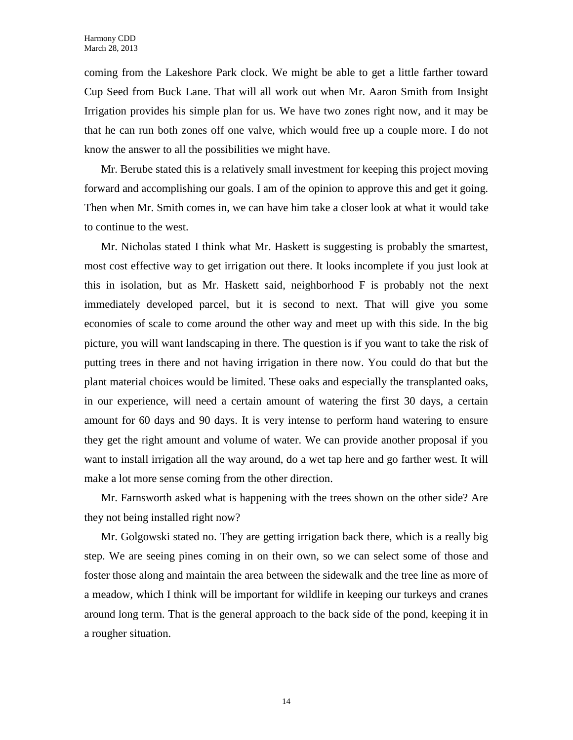coming from the Lakeshore Park clock. We might be able to get a little farther toward Cup Seed from Buck Lane. That will all work out when Mr. Aaron Smith from Insight Irrigation provides his simple plan for us. We have two zones right now, and it may be that he can run both zones off one valve, which would free up a couple more. I do not know the answer to all the possibilities we might have.

Mr. Berube stated this is a relatively small investment for keeping this project moving forward and accomplishing our goals. I am of the opinion to approve this and get it going. Then when Mr. Smith comes in, we can have him take a closer look at what it would take to continue to the west.

Mr. Nicholas stated I think what Mr. Haskett is suggesting is probably the smartest, most cost effective way to get irrigation out there. It looks incomplete if you just look at this in isolation, but as Mr. Haskett said, neighborhood F is probably not the next immediately developed parcel, but it is second to next. That will give you some economies of scale to come around the other way and meet up with this side. In the big picture, you will want landscaping in there. The question is if you want to take the risk of putting trees in there and not having irrigation in there now. You could do that but the plant material choices would be limited. These oaks and especially the transplanted oaks, in our experience, will need a certain amount of watering the first 30 days, a certain amount for 60 days and 90 days. It is very intense to perform hand watering to ensure they get the right amount and volume of water. We can provide another proposal if you want to install irrigation all the way around, do a wet tap here and go farther west. It will make a lot more sense coming from the other direction.

Mr. Farnsworth asked what is happening with the trees shown on the other side? Are they not being installed right now?

Mr. Golgowski stated no. They are getting irrigation back there, which is a really big step. We are seeing pines coming in on their own, so we can select some of those and foster those along and maintain the area between the sidewalk and the tree line as more of a meadow, which I think will be important for wildlife in keeping our turkeys and cranes around long term. That is the general approach to the back side of the pond, keeping it in a rougher situation.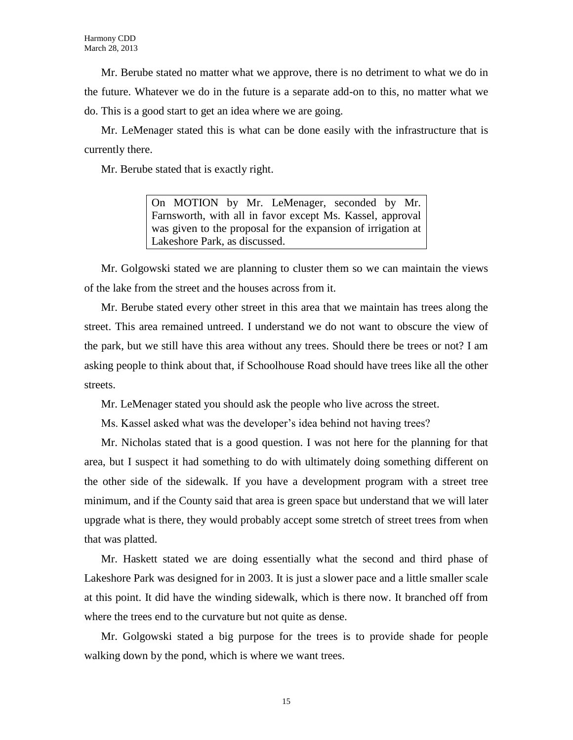Mr. Berube stated no matter what we approve, there is no detriment to what we do in the future. Whatever we do in the future is a separate add-on to this, no matter what we do. This is a good start to get an idea where we are going.

Mr. LeMenager stated this is what can be done easily with the infrastructure that is currently there.

Mr. Berube stated that is exactly right.

On MOTION by Mr. LeMenager, seconded by Mr. Farnsworth, with all in favor except Ms. Kassel, approval was given to the proposal for the expansion of irrigation at Lakeshore Park, as discussed.

Mr. Golgowski stated we are planning to cluster them so we can maintain the views of the lake from the street and the houses across from it.

Mr. Berube stated every other street in this area that we maintain has trees along the street. This area remained untreed. I understand we do not want to obscure the view of the park, but we still have this area without any trees. Should there be trees or not? I am asking people to think about that, if Schoolhouse Road should have trees like all the other streets.

Mr. LeMenager stated you should ask the people who live across the street.

Ms. Kassel asked what was the developer's idea behind not having trees?

Mr. Nicholas stated that is a good question. I was not here for the planning for that area, but I suspect it had something to do with ultimately doing something different on the other side of the sidewalk. If you have a development program with a street tree minimum, and if the County said that area is green space but understand that we will later upgrade what is there, they would probably accept some stretch of street trees from when that was platted.

Mr. Haskett stated we are doing essentially what the second and third phase of Lakeshore Park was designed for in 2003. It is just a slower pace and a little smaller scale at this point. It did have the winding sidewalk, which is there now. It branched off from where the trees end to the curvature but not quite as dense.

Mr. Golgowski stated a big purpose for the trees is to provide shade for people walking down by the pond, which is where we want trees.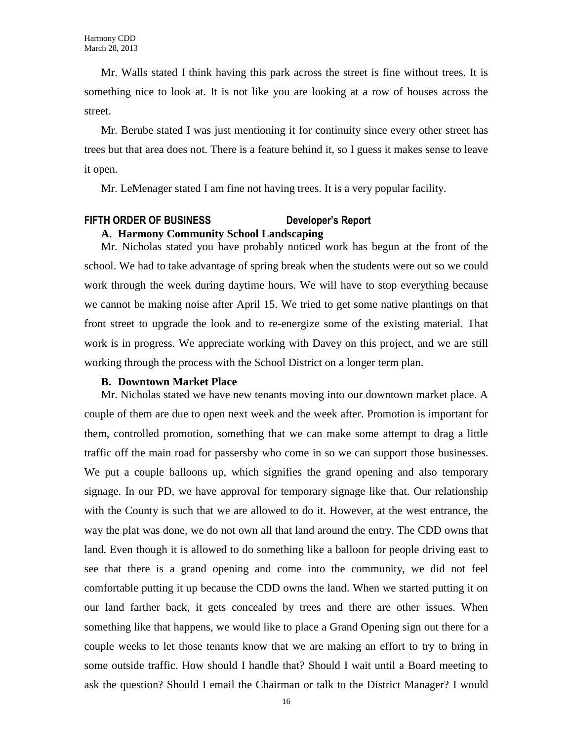Mr. Walls stated I think having this park across the street is fine without trees. It is something nice to look at. It is not like you are looking at a row of houses across the street.

Mr. Berube stated I was just mentioning it for continuity since every other street has trees but that area does not. There is a feature behind it, so I guess it makes sense to leave it open.

Mr. LeMenager stated I am fine not having trees. It is a very popular facility.

## **FIFTH ORDER OF BUSINESS Developer's Report A. Harmony Community School Landscaping**

Mr. Nicholas stated you have probably noticed work has begun at the front of the school. We had to take advantage of spring break when the students were out so we could work through the week during daytime hours. We will have to stop everything because we cannot be making noise after April 15. We tried to get some native plantings on that front street to upgrade the look and to re-energize some of the existing material. That work is in progress. We appreciate working with Davey on this project, and we are still working through the process with the School District on a longer term plan.

#### **B. Downtown Market Place**

Mr. Nicholas stated we have new tenants moving into our downtown market place. A couple of them are due to open next week and the week after. Promotion is important for them, controlled promotion, something that we can make some attempt to drag a little traffic off the main road for passersby who come in so we can support those businesses. We put a couple balloons up, which signifies the grand opening and also temporary signage. In our PD, we have approval for temporary signage like that. Our relationship with the County is such that we are allowed to do it. However, at the west entrance, the way the plat was done, we do not own all that land around the entry. The CDD owns that land. Even though it is allowed to do something like a balloon for people driving east to see that there is a grand opening and come into the community, we did not feel comfortable putting it up because the CDD owns the land. When we started putting it on our land farther back, it gets concealed by trees and there are other issues. When something like that happens, we would like to place a Grand Opening sign out there for a couple weeks to let those tenants know that we are making an effort to try to bring in some outside traffic. How should I handle that? Should I wait until a Board meeting to ask the question? Should I email the Chairman or talk to the District Manager? I would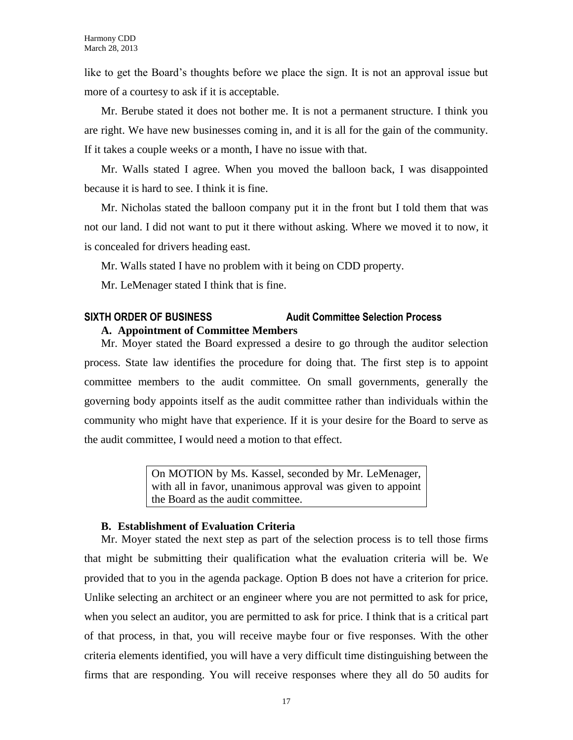like to get the Board's thoughts before we place the sign. It is not an approval issue but more of a courtesy to ask if it is acceptable.

Mr. Berube stated it does not bother me. It is not a permanent structure. I think you are right. We have new businesses coming in, and it is all for the gain of the community. If it takes a couple weeks or a month, I have no issue with that.

Mr. Walls stated I agree. When you moved the balloon back, I was disappointed because it is hard to see. I think it is fine.

Mr. Nicholas stated the balloon company put it in the front but I told them that was not our land. I did not want to put it there without asking. Where we moved it to now, it is concealed for drivers heading east.

Mr. Walls stated I have no problem with it being on CDD property.

Mr. LeMenager stated I think that is fine.

## **SIXTH ORDER OF BUSINESS Audit Committee Selection Process A. Appointment of Committee Members**

Mr. Moyer stated the Board expressed a desire to go through the auditor selection process. State law identifies the procedure for doing that. The first step is to appoint committee members to the audit committee. On small governments, generally the governing body appoints itself as the audit committee rather than individuals within the community who might have that experience. If it is your desire for the Board to serve as the audit committee, I would need a motion to that effect.

> On MOTION by Ms. Kassel, seconded by Mr. LeMenager, with all in favor, unanimous approval was given to appoint the Board as the audit committee.

## **B. Establishment of Evaluation Criteria**

Mr. Moyer stated the next step as part of the selection process is to tell those firms that might be submitting their qualification what the evaluation criteria will be. We provided that to you in the agenda package. Option B does not have a criterion for price. Unlike selecting an architect or an engineer where you are not permitted to ask for price, when you select an auditor, you are permitted to ask for price. I think that is a critical part of that process, in that, you will receive maybe four or five responses. With the other criteria elements identified, you will have a very difficult time distinguishing between the firms that are responding. You will receive responses where they all do 50 audits for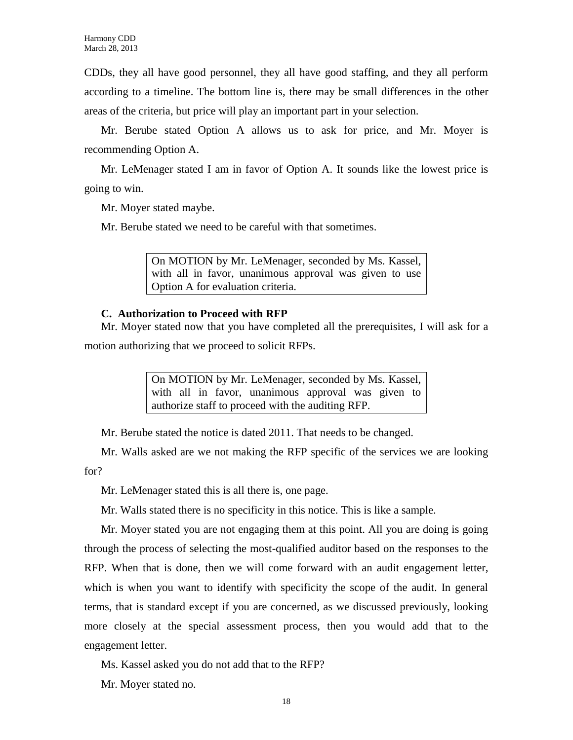CDDs, they all have good personnel, they all have good staffing, and they all perform according to a timeline. The bottom line is, there may be small differences in the other areas of the criteria, but price will play an important part in your selection.

Mr. Berube stated Option A allows us to ask for price, and Mr. Moyer is recommending Option A.

Mr. LeMenager stated I am in favor of Option A. It sounds like the lowest price is going to win.

Mr. Moyer stated maybe.

Mr. Berube stated we need to be careful with that sometimes.

On MOTION by Mr. LeMenager, seconded by Ms. Kassel, with all in favor, unanimous approval was given to use Option A for evaluation criteria.

## **C. Authorization to Proceed with RFP**

Mr. Moyer stated now that you have completed all the prerequisites, I will ask for a motion authorizing that we proceed to solicit RFPs.

> On MOTION by Mr. LeMenager, seconded by Ms. Kassel, with all in favor, unanimous approval was given to authorize staff to proceed with the auditing RFP.

Mr. Berube stated the notice is dated 2011. That needs to be changed.

Mr. Walls asked are we not making the RFP specific of the services we are looking for?

Mr. LeMenager stated this is all there is, one page.

Mr. Walls stated there is no specificity in this notice. This is like a sample.

Mr. Moyer stated you are not engaging them at this point. All you are doing is going through the process of selecting the most-qualified auditor based on the responses to the RFP. When that is done, then we will come forward with an audit engagement letter, which is when you want to identify with specificity the scope of the audit. In general terms, that is standard except if you are concerned, as we discussed previously, looking more closely at the special assessment process, then you would add that to the engagement letter.

Ms. Kassel asked you do not add that to the RFP?

Mr. Moyer stated no.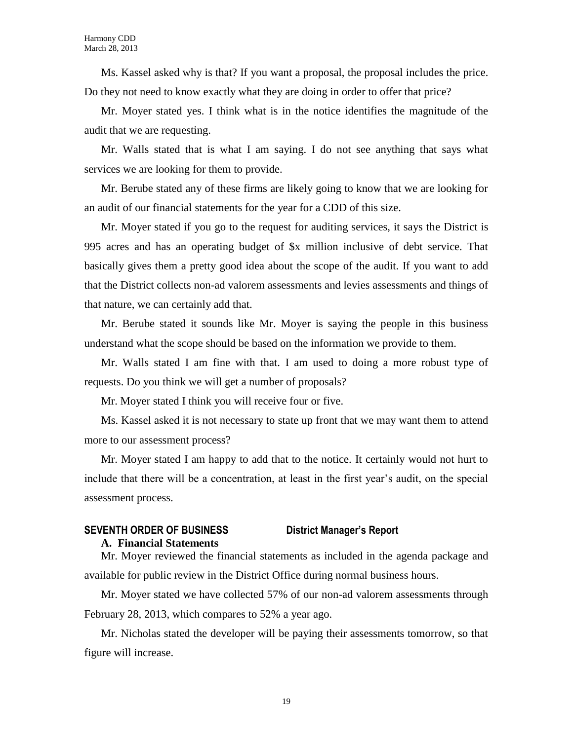Ms. Kassel asked why is that? If you want a proposal, the proposal includes the price. Do they not need to know exactly what they are doing in order to offer that price?

Mr. Moyer stated yes. I think what is in the notice identifies the magnitude of the audit that we are requesting.

Mr. Walls stated that is what I am saying. I do not see anything that says what services we are looking for them to provide.

Mr. Berube stated any of these firms are likely going to know that we are looking for an audit of our financial statements for the year for a CDD of this size.

Mr. Moyer stated if you go to the request for auditing services, it says the District is 995 acres and has an operating budget of \$x million inclusive of debt service. That basically gives them a pretty good idea about the scope of the audit. If you want to add that the District collects non-ad valorem assessments and levies assessments and things of that nature, we can certainly add that.

Mr. Berube stated it sounds like Mr. Moyer is saying the people in this business understand what the scope should be based on the information we provide to them.

Mr. Walls stated I am fine with that. I am used to doing a more robust type of requests. Do you think we will get a number of proposals?

Mr. Moyer stated I think you will receive four or five.

Ms. Kassel asked it is not necessary to state up front that we may want them to attend more to our assessment process?

Mr. Moyer stated I am happy to add that to the notice. It certainly would not hurt to include that there will be a concentration, at least in the first year's audit, on the special assessment process.

## **SEVENTH ORDER OF BUSINESS District Manager's Report A. Financial Statements**

Mr. Moyer reviewed the financial statements as included in the agenda package and available for public review in the District Office during normal business hours.

Mr. Moyer stated we have collected 57% of our non-ad valorem assessments through February 28, 2013, which compares to 52% a year ago.

Mr. Nicholas stated the developer will be paying their assessments tomorrow, so that figure will increase.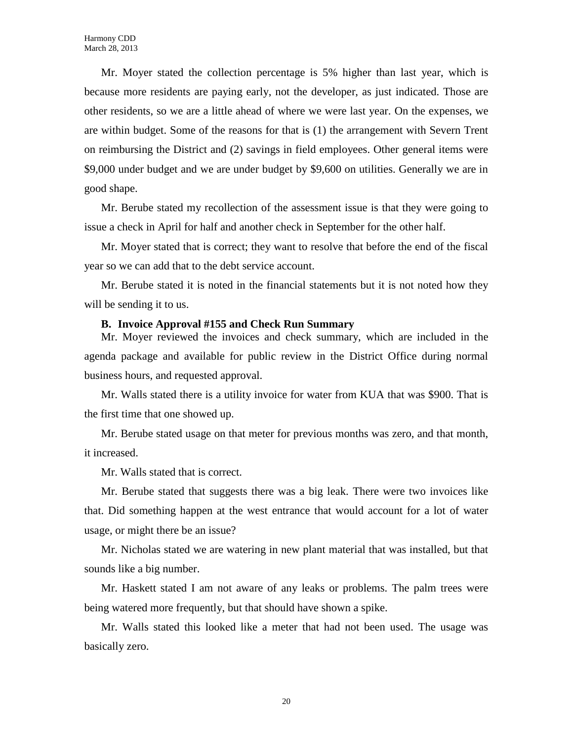Mr. Moyer stated the collection percentage is 5% higher than last year, which is because more residents are paying early, not the developer, as just indicated. Those are other residents, so we are a little ahead of where we were last year. On the expenses, we are within budget. Some of the reasons for that is (1) the arrangement with Severn Trent on reimbursing the District and (2) savings in field employees. Other general items were \$9,000 under budget and we are under budget by \$9,600 on utilities. Generally we are in good shape.

Mr. Berube stated my recollection of the assessment issue is that they were going to issue a check in April for half and another check in September for the other half.

Mr. Moyer stated that is correct; they want to resolve that before the end of the fiscal year so we can add that to the debt service account.

Mr. Berube stated it is noted in the financial statements but it is not noted how they will be sending it to us.

## **B. Invoice Approval #155 and Check Run Summary**

Mr. Moyer reviewed the invoices and check summary, which are included in the agenda package and available for public review in the District Office during normal business hours, and requested approval.

Mr. Walls stated there is a utility invoice for water from KUA that was \$900. That is the first time that one showed up.

Mr. Berube stated usage on that meter for previous months was zero, and that month, it increased.

Mr. Walls stated that is correct.

Mr. Berube stated that suggests there was a big leak. There were two invoices like that. Did something happen at the west entrance that would account for a lot of water usage, or might there be an issue?

Mr. Nicholas stated we are watering in new plant material that was installed, but that sounds like a big number.

Mr. Haskett stated I am not aware of any leaks or problems. The palm trees were being watered more frequently, but that should have shown a spike.

Mr. Walls stated this looked like a meter that had not been used. The usage was basically zero.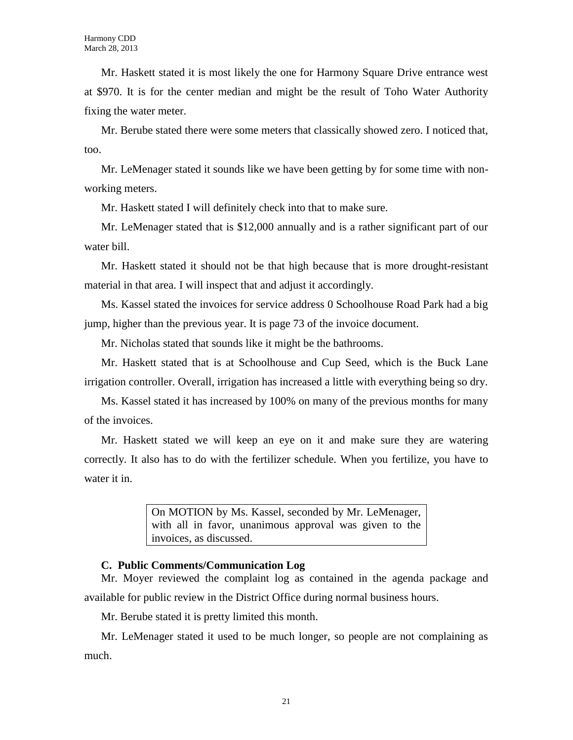Mr. Haskett stated it is most likely the one for Harmony Square Drive entrance west at \$970. It is for the center median and might be the result of Toho Water Authority fixing the water meter.

Mr. Berube stated there were some meters that classically showed zero. I noticed that, too.

Mr. LeMenager stated it sounds like we have been getting by for some time with nonworking meters.

Mr. Haskett stated I will definitely check into that to make sure.

Mr. LeMenager stated that is \$12,000 annually and is a rather significant part of our water bill.

Mr. Haskett stated it should not be that high because that is more drought-resistant material in that area. I will inspect that and adjust it accordingly.

Ms. Kassel stated the invoices for service address 0 Schoolhouse Road Park had a big jump, higher than the previous year. It is page 73 of the invoice document.

Mr. Nicholas stated that sounds like it might be the bathrooms.

Mr. Haskett stated that is at Schoolhouse and Cup Seed, which is the Buck Lane irrigation controller. Overall, irrigation has increased a little with everything being so dry.

Ms. Kassel stated it has increased by 100% on many of the previous months for many of the invoices.

Mr. Haskett stated we will keep an eye on it and make sure they are watering correctly. It also has to do with the fertilizer schedule. When you fertilize, you have to water it in.

> On MOTION by Ms. Kassel, seconded by Mr. LeMenager, with all in favor, unanimous approval was given to the invoices, as discussed.

## **C. Public Comments/Communication Log**

Mr. Moyer reviewed the complaint log as contained in the agenda package and available for public review in the District Office during normal business hours.

Mr. Berube stated it is pretty limited this month.

Mr. LeMenager stated it used to be much longer, so people are not complaining as much.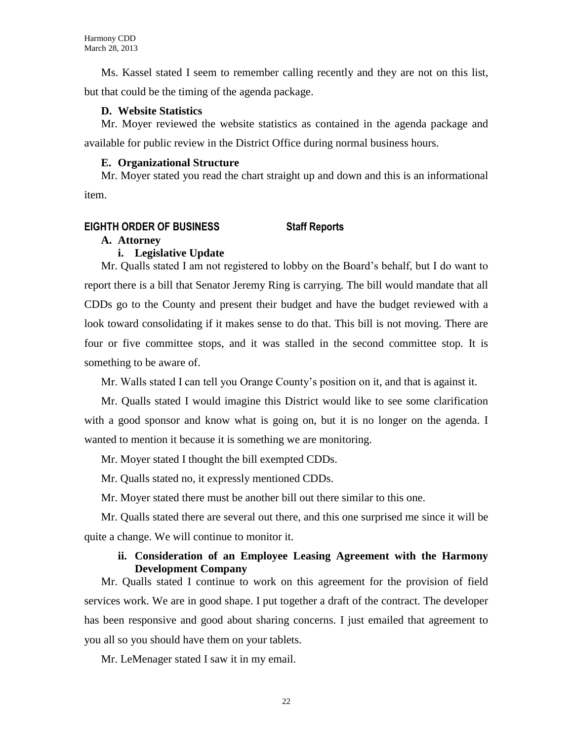Ms. Kassel stated I seem to remember calling recently and they are not on this list, but that could be the timing of the agenda package.

## **D. Website Statistics**

Mr. Moyer reviewed the website statistics as contained in the agenda package and available for public review in the District Office during normal business hours.

## **E. Organizational Structure**

Mr. Moyer stated you read the chart straight up and down and this is an informational item.

## **EIGHTH ORDER OF BUSINESS Staff Reports**

## **A. Attorney**

## **i. Legislative Update**

Mr. Qualls stated I am not registered to lobby on the Board's behalf, but I do want to report there is a bill that Senator Jeremy Ring is carrying. The bill would mandate that all CDDs go to the County and present their budget and have the budget reviewed with a look toward consolidating if it makes sense to do that. This bill is not moving. There are four or five committee stops, and it was stalled in the second committee stop. It is something to be aware of.

Mr. Walls stated I can tell you Orange County's position on it, and that is against it.

Mr. Qualls stated I would imagine this District would like to see some clarification with a good sponsor and know what is going on, but it is no longer on the agenda. I wanted to mention it because it is something we are monitoring.

Mr. Moyer stated I thought the bill exempted CDDs.

Mr. Qualls stated no, it expressly mentioned CDDs.

Mr. Moyer stated there must be another bill out there similar to this one.

Mr. Qualls stated there are several out there, and this one surprised me since it will be quite a change. We will continue to monitor it.

## **ii. Consideration of an Employee Leasing Agreement with the Harmony Development Company**

Mr. Qualls stated I continue to work on this agreement for the provision of field services work. We are in good shape. I put together a draft of the contract. The developer has been responsive and good about sharing concerns. I just emailed that agreement to you all so you should have them on your tablets.

Mr. LeMenager stated I saw it in my email.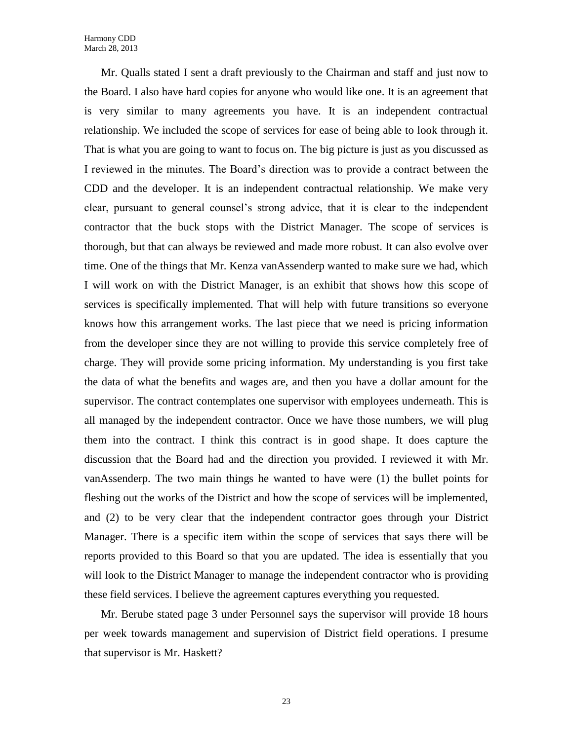Mr. Qualls stated I sent a draft previously to the Chairman and staff and just now to the Board. I also have hard copies for anyone who would like one. It is an agreement that is very similar to many agreements you have. It is an independent contractual relationship. We included the scope of services for ease of being able to look through it. That is what you are going to want to focus on. The big picture is just as you discussed as I reviewed in the minutes. The Board's direction was to provide a contract between the CDD and the developer. It is an independent contractual relationship. We make very clear, pursuant to general counsel's strong advice, that it is clear to the independent contractor that the buck stops with the District Manager. The scope of services is thorough, but that can always be reviewed and made more robust. It can also evolve over time. One of the things that Mr. Kenza vanAssenderp wanted to make sure we had, which I will work on with the District Manager, is an exhibit that shows how this scope of services is specifically implemented. That will help with future transitions so everyone knows how this arrangement works. The last piece that we need is pricing information from the developer since they are not willing to provide this service completely free of charge. They will provide some pricing information. My understanding is you first take the data of what the benefits and wages are, and then you have a dollar amount for the supervisor. The contract contemplates one supervisor with employees underneath. This is all managed by the independent contractor. Once we have those numbers, we will plug them into the contract. I think this contract is in good shape. It does capture the discussion that the Board had and the direction you provided. I reviewed it with Mr. vanAssenderp. The two main things he wanted to have were (1) the bullet points for fleshing out the works of the District and how the scope of services will be implemented, and (2) to be very clear that the independent contractor goes through your District Manager. There is a specific item within the scope of services that says there will be reports provided to this Board so that you are updated. The idea is essentially that you will look to the District Manager to manage the independent contractor who is providing these field services. I believe the agreement captures everything you requested.

Mr. Berube stated page 3 under Personnel says the supervisor will provide 18 hours per week towards management and supervision of District field operations. I presume that supervisor is Mr. Haskett?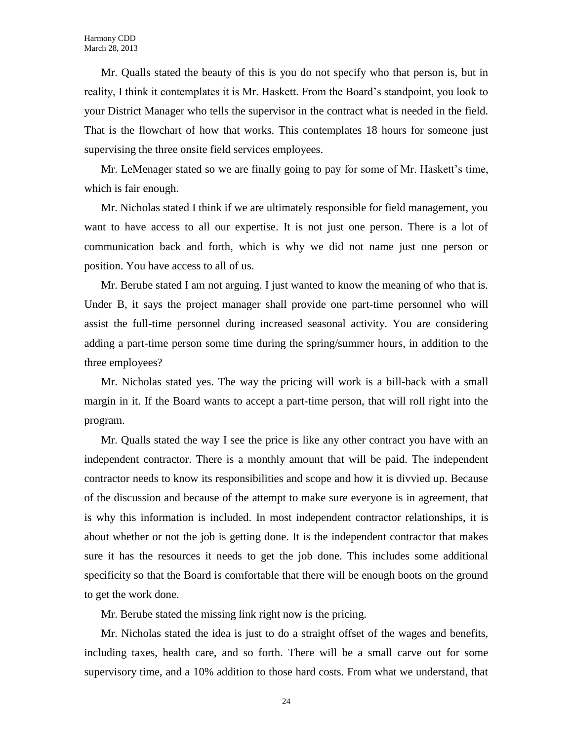Mr. Qualls stated the beauty of this is you do not specify who that person is, but in reality, I think it contemplates it is Mr. Haskett. From the Board's standpoint, you look to your District Manager who tells the supervisor in the contract what is needed in the field. That is the flowchart of how that works. This contemplates 18 hours for someone just supervising the three onsite field services employees.

Mr. LeMenager stated so we are finally going to pay for some of Mr. Haskett's time, which is fair enough.

Mr. Nicholas stated I think if we are ultimately responsible for field management, you want to have access to all our expertise. It is not just one person. There is a lot of communication back and forth, which is why we did not name just one person or position. You have access to all of us.

Mr. Berube stated I am not arguing. I just wanted to know the meaning of who that is. Under B, it says the project manager shall provide one part-time personnel who will assist the full-time personnel during increased seasonal activity. You are considering adding a part-time person some time during the spring/summer hours, in addition to the three employees?

Mr. Nicholas stated yes. The way the pricing will work is a bill-back with a small margin in it. If the Board wants to accept a part-time person, that will roll right into the program.

Mr. Qualls stated the way I see the price is like any other contract you have with an independent contractor. There is a monthly amount that will be paid. The independent contractor needs to know its responsibilities and scope and how it is divvied up. Because of the discussion and because of the attempt to make sure everyone is in agreement, that is why this information is included. In most independent contractor relationships, it is about whether or not the job is getting done. It is the independent contractor that makes sure it has the resources it needs to get the job done. This includes some additional specificity so that the Board is comfortable that there will be enough boots on the ground to get the work done.

Mr. Berube stated the missing link right now is the pricing.

Mr. Nicholas stated the idea is just to do a straight offset of the wages and benefits, including taxes, health care, and so forth. There will be a small carve out for some supervisory time, and a 10% addition to those hard costs. From what we understand, that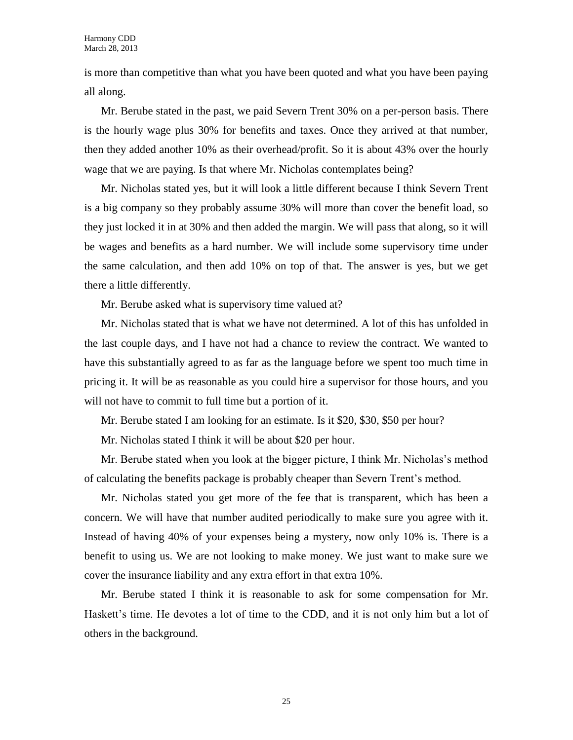is more than competitive than what you have been quoted and what you have been paying all along.

Mr. Berube stated in the past, we paid Severn Trent 30% on a per-person basis. There is the hourly wage plus 30% for benefits and taxes. Once they arrived at that number, then they added another 10% as their overhead/profit. So it is about 43% over the hourly wage that we are paying. Is that where Mr. Nicholas contemplates being?

Mr. Nicholas stated yes, but it will look a little different because I think Severn Trent is a big company so they probably assume 30% will more than cover the benefit load, so they just locked it in at 30% and then added the margin. We will pass that along, so it will be wages and benefits as a hard number. We will include some supervisory time under the same calculation, and then add 10% on top of that. The answer is yes, but we get there a little differently.

Mr. Berube asked what is supervisory time valued at?

Mr. Nicholas stated that is what we have not determined. A lot of this has unfolded in the last couple days, and I have not had a chance to review the contract. We wanted to have this substantially agreed to as far as the language before we spent too much time in pricing it. It will be as reasonable as you could hire a supervisor for those hours, and you will not have to commit to full time but a portion of it.

Mr. Berube stated I am looking for an estimate. Is it \$20, \$30, \$50 per hour?

Mr. Nicholas stated I think it will be about \$20 per hour.

Mr. Berube stated when you look at the bigger picture, I think Mr. Nicholas's method of calculating the benefits package is probably cheaper than Severn Trent's method.

Mr. Nicholas stated you get more of the fee that is transparent, which has been a concern. We will have that number audited periodically to make sure you agree with it. Instead of having 40% of your expenses being a mystery, now only 10% is. There is a benefit to using us. We are not looking to make money. We just want to make sure we cover the insurance liability and any extra effort in that extra 10%.

Mr. Berube stated I think it is reasonable to ask for some compensation for Mr. Haskett's time. He devotes a lot of time to the CDD, and it is not only him but a lot of others in the background.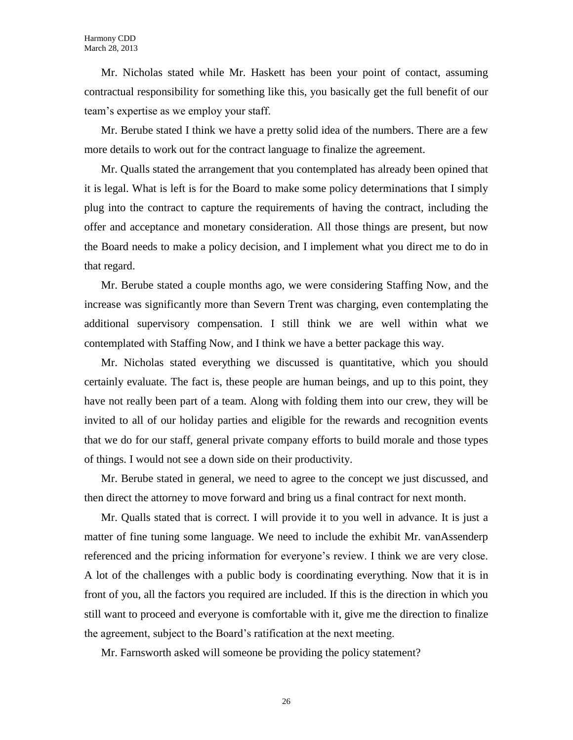Mr. Nicholas stated while Mr. Haskett has been your point of contact, assuming contractual responsibility for something like this, you basically get the full benefit of our team's expertise as we employ your staff.

Mr. Berube stated I think we have a pretty solid idea of the numbers. There are a few more details to work out for the contract language to finalize the agreement.

Mr. Qualls stated the arrangement that you contemplated has already been opined that it is legal. What is left is for the Board to make some policy determinations that I simply plug into the contract to capture the requirements of having the contract, including the offer and acceptance and monetary consideration. All those things are present, but now the Board needs to make a policy decision, and I implement what you direct me to do in that regard.

Mr. Berube stated a couple months ago, we were considering Staffing Now, and the increase was significantly more than Severn Trent was charging, even contemplating the additional supervisory compensation. I still think we are well within what we contemplated with Staffing Now, and I think we have a better package this way.

Mr. Nicholas stated everything we discussed is quantitative, which you should certainly evaluate. The fact is, these people are human beings, and up to this point, they have not really been part of a team. Along with folding them into our crew, they will be invited to all of our holiday parties and eligible for the rewards and recognition events that we do for our staff, general private company efforts to build morale and those types of things. I would not see a down side on their productivity.

Mr. Berube stated in general, we need to agree to the concept we just discussed, and then direct the attorney to move forward and bring us a final contract for next month.

Mr. Qualls stated that is correct. I will provide it to you well in advance. It is just a matter of fine tuning some language. We need to include the exhibit Mr. vanAssenderp referenced and the pricing information for everyone's review. I think we are very close. A lot of the challenges with a public body is coordinating everything. Now that it is in front of you, all the factors you required are included. If this is the direction in which you still want to proceed and everyone is comfortable with it, give me the direction to finalize the agreement, subject to the Board's ratification at the next meeting.

Mr. Farnsworth asked will someone be providing the policy statement?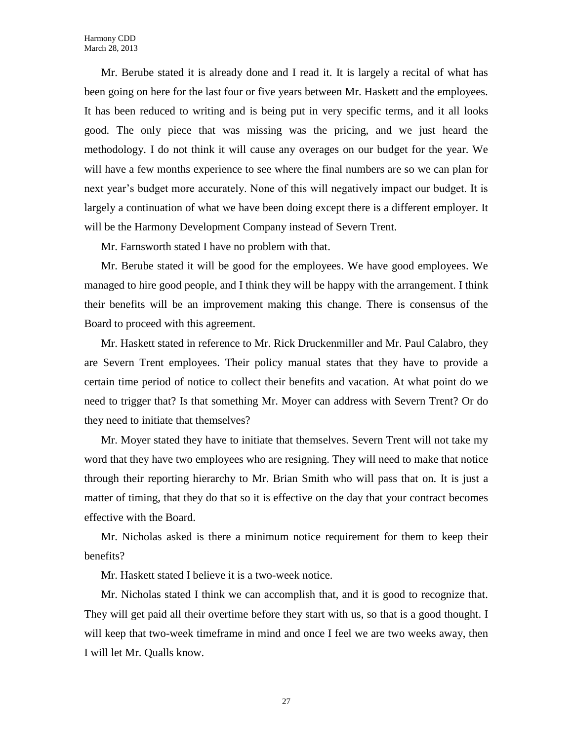Mr. Berube stated it is already done and I read it. It is largely a recital of what has been going on here for the last four or five years between Mr. Haskett and the employees. It has been reduced to writing and is being put in very specific terms, and it all looks good. The only piece that was missing was the pricing, and we just heard the methodology. I do not think it will cause any overages on our budget for the year. We will have a few months experience to see where the final numbers are so we can plan for next year's budget more accurately. None of this will negatively impact our budget. It is largely a continuation of what we have been doing except there is a different employer. It will be the Harmony Development Company instead of Severn Trent.

Mr. Farnsworth stated I have no problem with that.

Mr. Berube stated it will be good for the employees. We have good employees. We managed to hire good people, and I think they will be happy with the arrangement. I think their benefits will be an improvement making this change. There is consensus of the Board to proceed with this agreement.

Mr. Haskett stated in reference to Mr. Rick Druckenmiller and Mr. Paul Calabro, they are Severn Trent employees. Their policy manual states that they have to provide a certain time period of notice to collect their benefits and vacation. At what point do we need to trigger that? Is that something Mr. Moyer can address with Severn Trent? Or do they need to initiate that themselves?

Mr. Moyer stated they have to initiate that themselves. Severn Trent will not take my word that they have two employees who are resigning. They will need to make that notice through their reporting hierarchy to Mr. Brian Smith who will pass that on. It is just a matter of timing, that they do that so it is effective on the day that your contract becomes effective with the Board.

Mr. Nicholas asked is there a minimum notice requirement for them to keep their benefits?

Mr. Haskett stated I believe it is a two-week notice.

Mr. Nicholas stated I think we can accomplish that, and it is good to recognize that. They will get paid all their overtime before they start with us, so that is a good thought. I will keep that two-week timeframe in mind and once I feel we are two weeks away, then I will let Mr. Qualls know.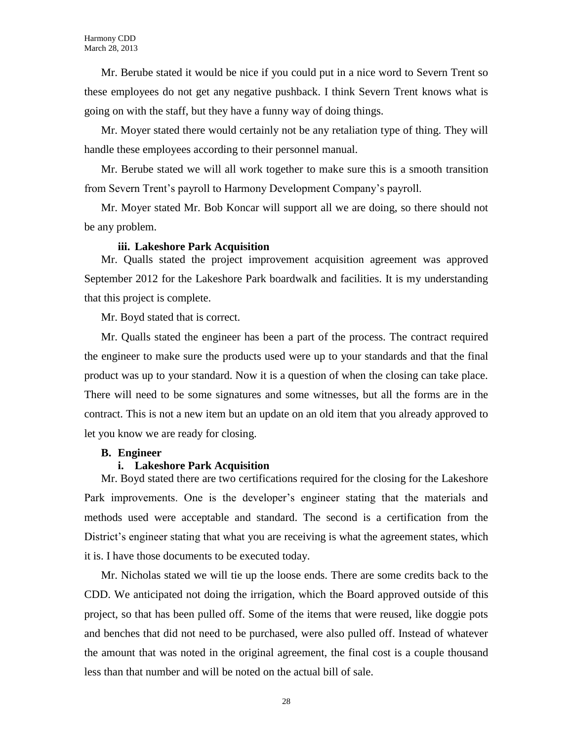Mr. Berube stated it would be nice if you could put in a nice word to Severn Trent so these employees do not get any negative pushback. I think Severn Trent knows what is going on with the staff, but they have a funny way of doing things.

Mr. Moyer stated there would certainly not be any retaliation type of thing. They will handle these employees according to their personnel manual.

Mr. Berube stated we will all work together to make sure this is a smooth transition from Severn Trent's payroll to Harmony Development Company's payroll.

Mr. Moyer stated Mr. Bob Koncar will support all we are doing, so there should not be any problem.

#### **iii. Lakeshore Park Acquisition**

Mr. Qualls stated the project improvement acquisition agreement was approved September 2012 for the Lakeshore Park boardwalk and facilities. It is my understanding that this project is complete.

Mr. Boyd stated that is correct.

Mr. Qualls stated the engineer has been a part of the process. The contract required the engineer to make sure the products used were up to your standards and that the final product was up to your standard. Now it is a question of when the closing can take place. There will need to be some signatures and some witnesses, but all the forms are in the contract. This is not a new item but an update on an old item that you already approved to let you know we are ready for closing.

#### **B. Engineer**

### **i. Lakeshore Park Acquisition**

Mr. Boyd stated there are two certifications required for the closing for the Lakeshore Park improvements. One is the developer's engineer stating that the materials and methods used were acceptable and standard. The second is a certification from the District's engineer stating that what you are receiving is what the agreement states, which it is. I have those documents to be executed today.

Mr. Nicholas stated we will tie up the loose ends. There are some credits back to the CDD. We anticipated not doing the irrigation, which the Board approved outside of this project, so that has been pulled off. Some of the items that were reused, like doggie pots and benches that did not need to be purchased, were also pulled off. Instead of whatever the amount that was noted in the original agreement, the final cost is a couple thousand less than that number and will be noted on the actual bill of sale.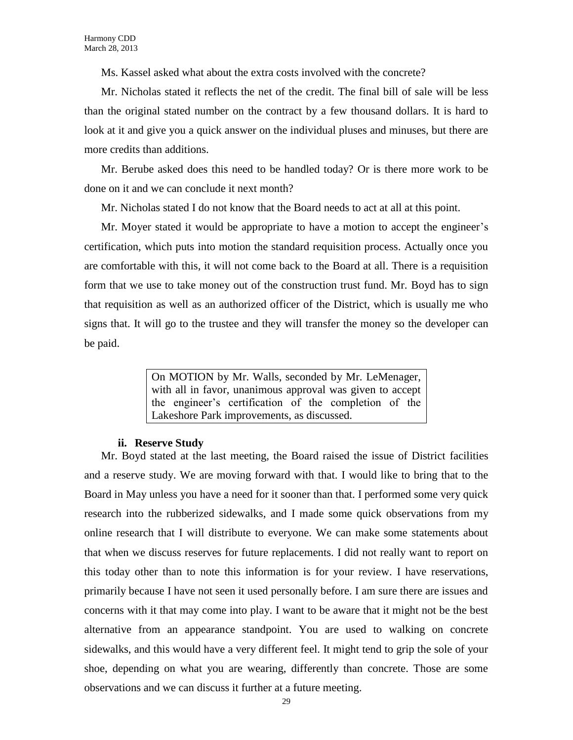Ms. Kassel asked what about the extra costs involved with the concrete?

Mr. Nicholas stated it reflects the net of the credit. The final bill of sale will be less than the original stated number on the contract by a few thousand dollars. It is hard to look at it and give you a quick answer on the individual pluses and minuses, but there are more credits than additions.

Mr. Berube asked does this need to be handled today? Or is there more work to be done on it and we can conclude it next month?

Mr. Nicholas stated I do not know that the Board needs to act at all at this point.

Mr. Moyer stated it would be appropriate to have a motion to accept the engineer's certification, which puts into motion the standard requisition process. Actually once you are comfortable with this, it will not come back to the Board at all. There is a requisition form that we use to take money out of the construction trust fund. Mr. Boyd has to sign that requisition as well as an authorized officer of the District, which is usually me who signs that. It will go to the trustee and they will transfer the money so the developer can be paid.

> On MOTION by Mr. Walls, seconded by Mr. LeMenager, with all in favor, unanimous approval was given to accept the engineer's certification of the completion of the Lakeshore Park improvements, as discussed.

#### **ii. Reserve Study**

Mr. Boyd stated at the last meeting, the Board raised the issue of District facilities and a reserve study. We are moving forward with that. I would like to bring that to the Board in May unless you have a need for it sooner than that. I performed some very quick research into the rubberized sidewalks, and I made some quick observations from my online research that I will distribute to everyone. We can make some statements about that when we discuss reserves for future replacements. I did not really want to report on this today other than to note this information is for your review. I have reservations, primarily because I have not seen it used personally before. I am sure there are issues and concerns with it that may come into play. I want to be aware that it might not be the best alternative from an appearance standpoint. You are used to walking on concrete sidewalks, and this would have a very different feel. It might tend to grip the sole of your shoe, depending on what you are wearing, differently than concrete. Those are some observations and we can discuss it further at a future meeting.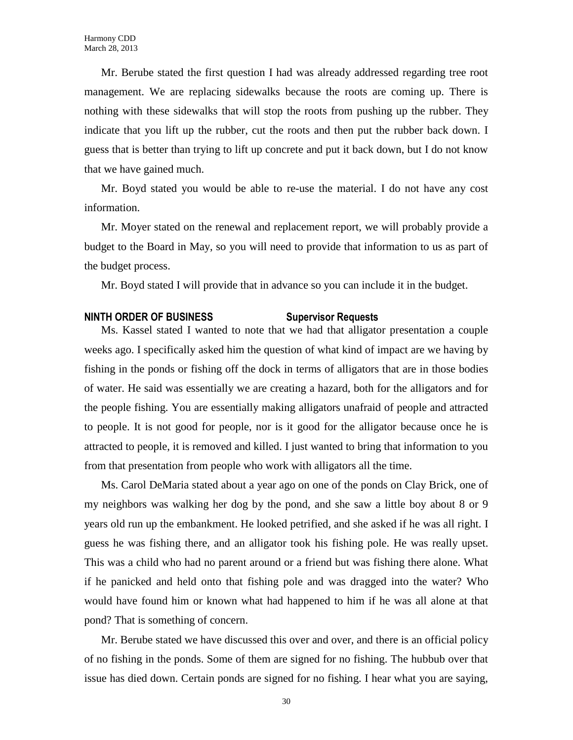Mr. Berube stated the first question I had was already addressed regarding tree root management. We are replacing sidewalks because the roots are coming up. There is nothing with these sidewalks that will stop the roots from pushing up the rubber. They indicate that you lift up the rubber, cut the roots and then put the rubber back down. I guess that is better than trying to lift up concrete and put it back down, but I do not know that we have gained much.

Mr. Boyd stated you would be able to re-use the material. I do not have any cost information.

Mr. Moyer stated on the renewal and replacement report, we will probably provide a budget to the Board in May, so you will need to provide that information to us as part of the budget process.

Mr. Boyd stated I will provide that in advance so you can include it in the budget.

#### **NINTH ORDER OF BUSINESS Supervisor Requests**

Ms. Kassel stated I wanted to note that we had that alligator presentation a couple weeks ago. I specifically asked him the question of what kind of impact are we having by fishing in the ponds or fishing off the dock in terms of alligators that are in those bodies of water. He said was essentially we are creating a hazard, both for the alligators and for the people fishing. You are essentially making alligators unafraid of people and attracted to people. It is not good for people, nor is it good for the alligator because once he is attracted to people, it is removed and killed. I just wanted to bring that information to you from that presentation from people who work with alligators all the time.

Ms. Carol DeMaria stated about a year ago on one of the ponds on Clay Brick, one of my neighbors was walking her dog by the pond, and she saw a little boy about 8 or 9 years old run up the embankment. He looked petrified, and she asked if he was all right. I guess he was fishing there, and an alligator took his fishing pole. He was really upset. This was a child who had no parent around or a friend but was fishing there alone. What if he panicked and held onto that fishing pole and was dragged into the water? Who would have found him or known what had happened to him if he was all alone at that pond? That is something of concern.

Mr. Berube stated we have discussed this over and over, and there is an official policy of no fishing in the ponds. Some of them are signed for no fishing. The hubbub over that issue has died down. Certain ponds are signed for no fishing. I hear what you are saying,